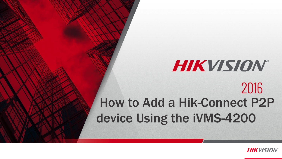# **HIKVISION®** 2016 How to Add a Hik-Connect P2P device Using the iVMS-4200

© 2015 HikvisionUSA Inc. AllRightsReserved. Confidentialand Proprietary.

**HIKVISION**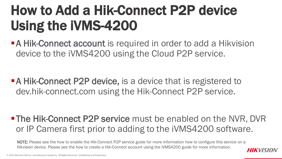**A Hik-Connect account** is required in order to add a Hikvision device to the iVMS4200 using the Cloud P2P service.

**A Hik-Connect P2P device, is a device that is registered to** dev.hik-connect.com using the Hik-Connect P2P service.

**- The Hik-Connect P2P service** must be enabled on the NVR, DVR or IP Camera first prior to adding to the iVMS4200 software.

NOTE: Please see the how to enable the Hik-Connect P2P service guide for more information how to configure this service on a Hikvision device. Please see the how to create a Hik-Connect account using the iVMS4200 guide for more information.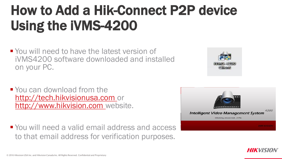- **Nou will need to have the latest version of** iVMS4200 software downloaded and installed on your PC.
- You can download from the [http://tech.hikvisionusa.com](http://tech.hikvisionusa.com/) or [http://www.hikvision.com](http://www.hikvision.com/) website.

**• You will need a valid email address and access** to that email address for verification purposes.





**HIKVISION**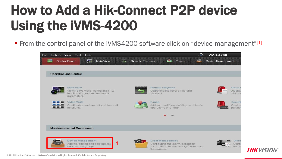From the control panel of the iVMS4200 software click on "device management"[1]



**HIKVISION**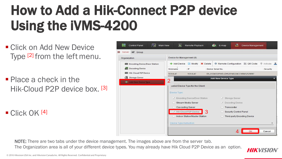- Click on Add New Device Type [2] from the left menu.
- Place a check in the Hik-Cloud P2P device box. [3]

 $\blacksquare$  Click OK [4]



**HIKVISION** 

NOTE: There are two tabs under the device management. The images above are from the server tab. The Organization area is all of your different device types. You may already have Hik Cloud P2P Device as an option.

© 2016 Hikvision USA Inc. and Hikvision Canada Inc. All Rights Reserved. Confidential and Proprietary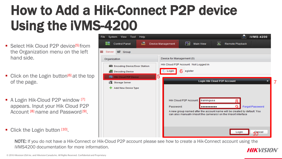- Select Hik Cloud P2P device<sup>[5]</sup> from the Organization menu on the left hand side.
- Click on the Login button<sup>[6]</sup> at the top of the page.
- A Login Hik-Cloud P2P window [7] appears. Input your Hik Cloud P2P Account [8] name and Password [9].
- Click the Login button [10].



NOTE: If you do not have a Hik-Connect or Hik-Cloud P2P account please see how to create a Hik-Connect account using the iVMS4200 documentation for more information. **HIKVISION**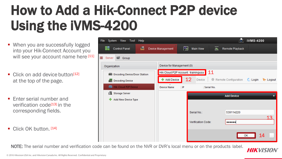- When you are successfully logged into your Hik-Connect Account you will see your account name here [11]
- Click on add device button<sup>[12]</sup> at the top of the page.
- **F** Fnter serial number and verification code[13] in the corresponding fields.
- Click OK button. [14]

| System View Tool<br>Help<br><b>File</b> |                                     |                       | 70                   | iVMS-4200                                       |
|-----------------------------------------|-------------------------------------|-----------------------|----------------------|-------------------------------------------------|
| 르<br><b>Control Panel</b>               | ₩<br>Device Management              | <b>Main View</b><br>ы | Remote Playback      |                                                 |
| ≡<br>Group<br>Server                    |                                     |                       |                      |                                                 |
| Organization                            | Device for Management (0)           |                       |                      |                                                 |
| <b>Emo</b> Encoding Device/Door Station | Hik Cloud P2P Account: trainingusa  | 11                    |                      |                                                 |
| <b>Decoding Device</b><br><u>And</u>    | + Add Device                        | 12<br>壶<br>Device     | Remote Configuration | $\bigcup$ Login<br>$\blacktriangleright$ Logout |
| <b>Filip Hik Cloud P2P Device</b>       | <b>Device Name</b><br>$\mathsf{IP}$ | Serial No.            |                      |                                                 |
| Storage Server                          |                                     |                       | <b>Add Device</b>    | ×                                               |
| <b>Add New Device Type</b><br>÷         |                                     |                       |                      |                                                 |
|                                         |                                     |                       |                      |                                                 |
|                                         |                                     | Serial No.:           | 539114220            | 13                                              |
|                                         |                                     | Verification Code:    |                      |                                                 |
|                                         |                                     |                       |                      |                                                 |
|                                         |                                     |                       |                      | 14<br>OK                                        |

NOTE: The serial number and verification code can be found on the NVR or DVR's local menu or on the products label.